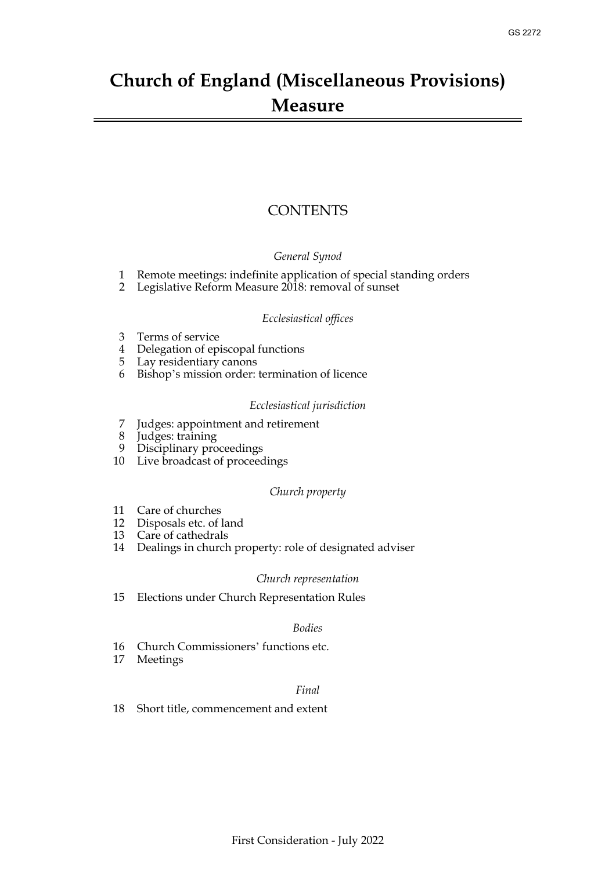# **Church of England (Miscellaneous Provisions) Measure**

## **CONTENTS**

## *General Synod*

- [1 Remote meetings: indefinite application of special standing orders](#page-1-0)
- [2 Legislative Reform Measure 2018: removal of sunset](#page-1-1)

## *Ecclesiastical offices*

- [3 Terms of service](#page-2-0)
- [4 Delegation of episcopal functions](#page-2-1)
- [5 Lay residentiary canons](#page-3-0)
- [6 Bishop's mission order: termination of licence](#page-4-0)

## *Ecclesiastical jurisdiction*

- [7 Judges: appointment and retirement](#page-5-0)
- Judges: training
- [9 Disciplinary proceedings](#page-6-0)
- [10 Live broadcast of proceedings](#page-7-0)

## *Church property*

- [11 Care of churches](#page-8-0)
- [12 Disposals etc. of land](#page-8-1)
- [13 Care of cathedrals](#page-9-0)
- [14 Dealings in church property: role of designated adviser](#page-9-1)

## *Church representation*

[15 Elections under Church Representation Rules](#page-10-0)

## *Bodies*

- [16 Church Commissioners' functions etc.](#page-10-1)
- [17 Meetings](#page-11-0)

## *Final*

18 [Short title, commencement and extent](#page-12-0)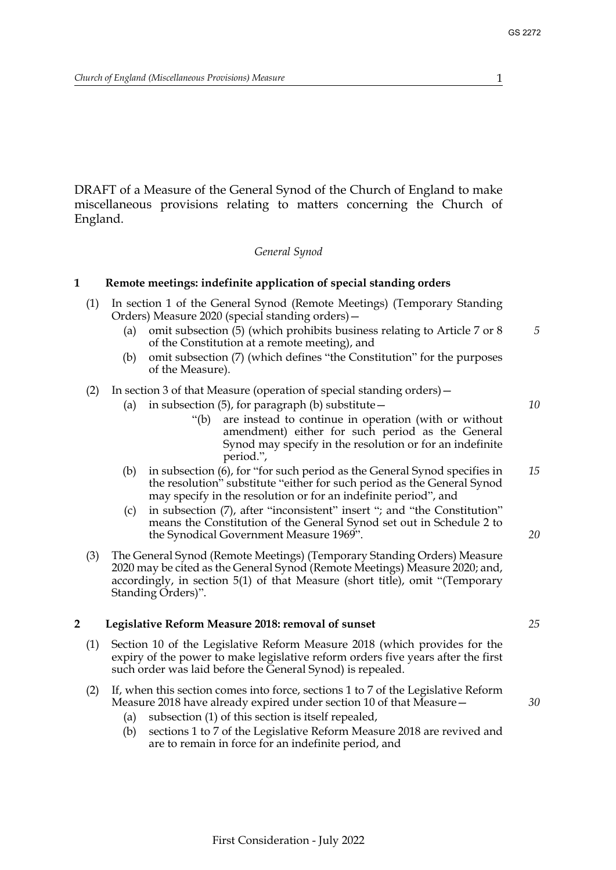DRAFT of a Measure of the General Synod of the Church of England to make miscellaneous provisions relating to matters concerning the Church of England.

#### *General Synod*

#### <span id="page-1-2"></span><span id="page-1-0"></span>**1 Remote meetings: indefinite application of special standing orders**

- (1) In section 1 of the General Synod (Remote Meetings) (Temporary Standing Orders) Measure 2020 (special standing orders)—
	- (a) omit subsection (5) (which prohibits business relating to Article 7 or 8 of the Constitution at a remote meeting), and
	- (b) omit subsection (7) (which defines "the Constitution" for the purposes of the Measure).

## (2) In section 3 of that Measure (operation of special standing orders)—

- (a) in subsection  $(5)$ , for paragraph (b) substitute  $-$ 
	- "(b) are instead to continue in operation (with or without amendment) either for such period as the General Synod may specify in the resolution or for an indefinite period.",
- (b) in subsection (6), for "for such period as the General Synod specifies in the resolution" substitute "either for such period as the General Synod may specify in the resolution or for an indefinite period", and *15*
- (c) in subsection (7), after "inconsistent" insert "; and "the Constitution" means the Constitution of the General Synod set out in Schedule 2 to the Synodical Government Measure 1969".
- (3) The General Synod (Remote Meetings) (Temporary Standing Orders) Measure 2020 may be cited as the General Synod (Remote Meetings) Measure 2020; and, accordingly, in section 5(1) of that Measure (short title), omit "(Temporary Standing Orders)".

#### <span id="page-1-3"></span><span id="page-1-1"></span>**2 Legislative Reform Measure 2018: removal of sunset**

(1) Section 10 of the Legislative Reform Measure 2018 (which provides for the expiry of the power to make legislative reform orders five years after the first such order was laid before the General Synod) is repealed.

## (2) If, when this section comes into force, sections 1 to 7 of the Legislative Reform Measure 2018 have already expired under section 10 of that Measure—

- (a) subsection (1) of this section is itself repealed,
- (b) sections 1 to 7 of the Legislative Reform Measure 2018 are revived and are to remain in force for an indefinite period, and

*25*

*30*

*20*

*5*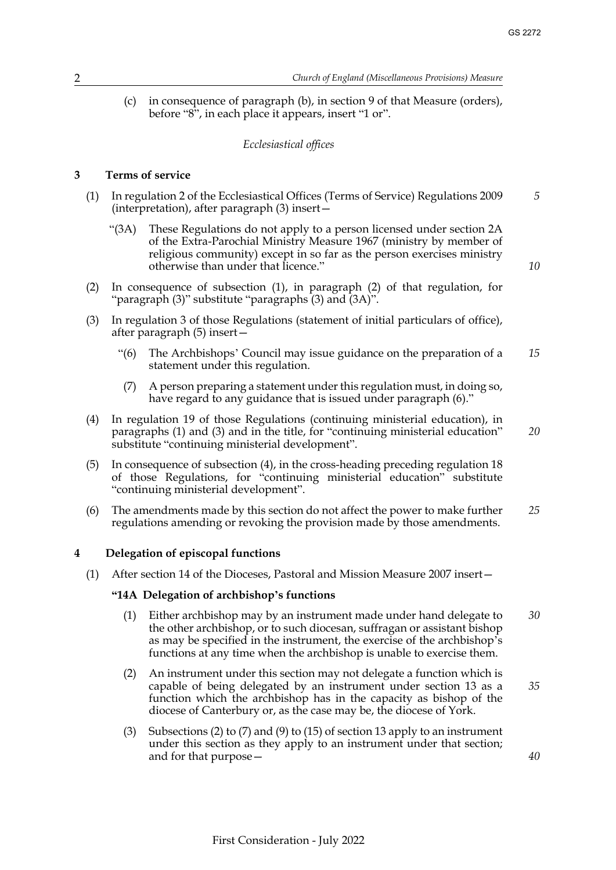*20*

*40*

(c) in consequence of paragraph (b), in section 9 of that Measure (orders), before "8", in each place it appears, insert "1 or".

## *Ecclesiastical offices*

## <span id="page-2-2"></span><span id="page-2-0"></span>**3 Terms of service**

- (1) In regulation 2 of the Ecclesiastical Offices (Terms of Service) Regulations 2009 (interpretation), after paragraph (3) insert— *5*
	- "(3A) These Regulations do not apply to a person licensed under section 2A of the Extra-Parochial Ministry Measure 1967 (ministry by member of religious community) except in so far as the person exercises ministry otherwise than under that licence."
- (2) In consequence of subsection (1), in paragraph (2) of that regulation, for "paragraph (3)" substitute "paragraphs (3) and (3A)".
- (3) In regulation 3 of those Regulations (statement of initial particulars of office), after paragraph (5) insert—
	- "(6) The Archbishops' Council may issue guidance on the preparation of a statement under this regulation. *15*
	- (7) A person preparing a statement under this regulation must, in doing so, have regard to any guidance that is issued under paragraph (6)."
- (4) In regulation 19 of those Regulations (continuing ministerial education), in paragraphs (1) and (3) and in the title, for "continuing ministerial education" substitute "continuing ministerial development".
- (5) In consequence of subsection (4), in the cross-heading preceding regulation 18 of those Regulations, for "continuing ministerial education" substitute "continuing ministerial development".
- (6) The amendments made by this section do not affect the power to make further regulations amending or revoking the provision made by those amendments. *25*

## <span id="page-2-3"></span><span id="page-2-1"></span>**4 Delegation of episcopal functions**

(1) After section 14 of the Dioceses, Pastoral and Mission Measure 2007 insert—

## **"14A Delegation of archbishop's functions**

- (1) Either archbishop may by an instrument made under hand delegate to the other archbishop, or to such diocesan, suffragan or assistant bishop as may be specified in the instrument, the exercise of the archbishop's functions at any time when the archbishop is unable to exercise them. *30*
- (2) An instrument under this section may not delegate a function which is capable of being delegated by an instrument under section 13 as a function which the archbishop has in the capacity as bishop of the diocese of Canterbury or, as the case may be, the diocese of York. *35*
- (3) Subsections (2) to (7) and (9) to (15) of section 13 apply to an instrument under this section as they apply to an instrument under that section; and for that purpose—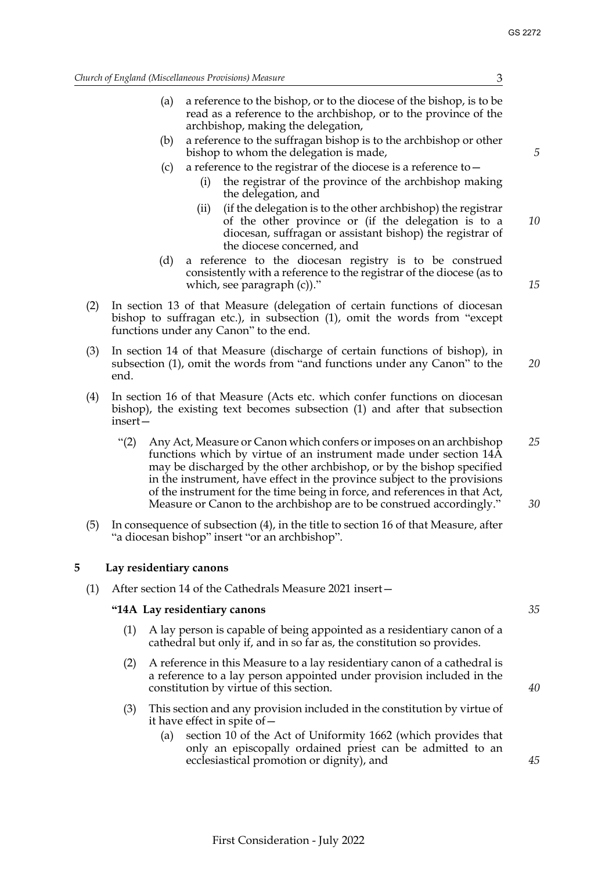*15*

*Church of England (Miscellaneous Provisions) Measure* 3

- (a) a reference to the bishop, or to the diocese of the bishop, is to be read as a reference to the archbishop, or to the province of the archbishop, making the delegation,
- (b) a reference to the suffragan bishop is to the archbishop or other bishop to whom the delegation is made,
- (c) a reference to the registrar of the diocese is a reference to—
	- (i) the registrar of the province of the archbishop making the delegation, and
	- (ii) (if the delegation is to the other archbishop) the registrar of the other province or (if the delegation is to a diocesan, suffragan or assistant bishop) the registrar of the diocese concerned, and *10*
- (d) a reference to the diocesan registry is to be construed consistently with a reference to the registrar of the diocese (as to which, see paragraph (c))."
- (2) In section 13 of that Measure (delegation of certain functions of diocesan bishop to suffragan etc.), in subsection (1), omit the words from "except functions under any Canon" to the end.
- (3) In section 14 of that Measure (discharge of certain functions of bishop), in subsection (1), omit the words from "and functions under any Canon" to the end. *20*
- (4) In section 16 of that Measure (Acts etc. which confer functions on diocesan bishop), the existing text becomes subsection (1) and after that subsection insert—
	- "(2) Any Act, Measure or Canon which confers or imposes on an archbishop functions which by virtue of an instrument made under section 14A may be discharged by the other archbishop, or by the bishop specified in the instrument, have effect in the province subject to the provisions of the instrument for the time being in force, and references in that Act, Measure or Canon to the archbishop are to be construed accordingly." *25 30*
- (5) In consequence of subsection (4), in the title to section 16 of that Measure, after "a diocesan bishop" insert "or an archbishop".

## <span id="page-3-1"></span><span id="page-3-0"></span>**5 Lay residentiary canons**

(1) After section 14 of the Cathedrals Measure 2021 insert—

## **"14A Lay residentiary canons**

- (1) A lay person is capable of being appointed as a residentiary canon of a cathedral but only if, and in so far as, the constitution so provides.
- (2) A reference in this Measure to a lay residentiary canon of a cathedral is a reference to a lay person appointed under provision included in the constitution by virtue of this section.
- (3) This section and any provision included in the constitution by virtue of it have effect in spite of—
	- (a) section 10 of the Act of Uniformity 1662 (which provides that only an episcopally ordained priest can be admitted to an ecclesiastical promotion or dignity), and

*35*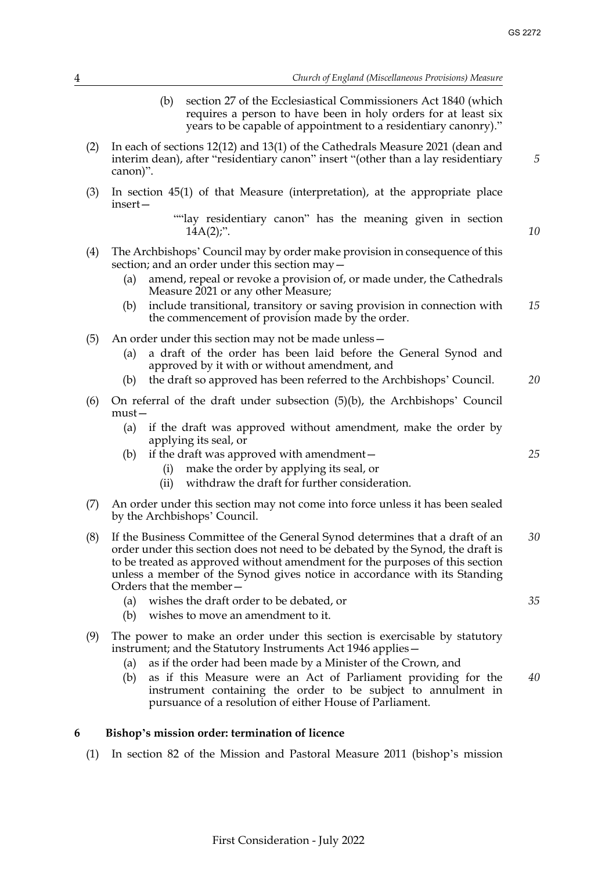*10*

*25*

*35*

(b) section 27 of the Ecclesiastical Commissioners Act 1840 (which requires a person to have been in holy orders for at least six years to be capable of appointment to a residentiary canonry)."

- (2) In each of sections 12(12) and 13(1) of the Cathedrals Measure 2021 (dean and interim dean), after "residentiary canon" insert "(other than a lay residentiary canon)".
- (3) In section 45(1) of that Measure (interpretation), at the appropriate place insert—
	- ""lay residentiary canon" has the meaning given in section  $14A(2)$ ;".
- (4) The Archbishops' Council may by order make provision in consequence of this section; and an order under this section may—
	- (a) amend, repeal or revoke a provision of, or made under, the Cathedrals Measure 2021 or any other Measure;
	- (b) include transitional, transitory or saving provision in connection with the commencement of provision made by the order. *15*
- (5) An order under this section may not be made unless—
	- (a) a draft of the order has been laid before the General Synod and approved by it with or without amendment, and
	- (b) the draft so approved has been referred to the Archbishops' Council. *20*
- (6) On referral of the draft under subsection (5)(b), the Archbishops' Council must—
	- (a) if the draft was approved without amendment, make the order by applying its seal, or
	- (b) if the draft was approved with amendment—
		- (i) make the order by applying its seal, or
		- (ii) withdraw the draft for further consideration.
- (7) An order under this section may not come into force unless it has been sealed by the Archbishops' Council.
- (8) If the Business Committee of the General Synod determines that a draft of an order under this section does not need to be debated by the Synod, the draft is to be treated as approved without amendment for the purposes of this section unless a member of the Synod gives notice in accordance with its Standing Orders that the member— *30*
	- (a) wishes the draft order to be debated, or
	- (b) wishes to move an amendment to it.
- (9) The power to make an order under this section is exercisable by statutory instrument; and the Statutory Instruments Act 1946 applies—
	- (a) as if the order had been made by a Minister of the Crown, and
	- (b) as if this Measure were an Act of Parliament providing for the instrument containing the order to be subject to annulment in pursuance of a resolution of either House of Parliament. *40*

## <span id="page-4-1"></span><span id="page-4-0"></span>**6 Bishop's mission order: termination of licence**

(1) In section 82 of the Mission and Pastoral Measure 2011 (bishop's mission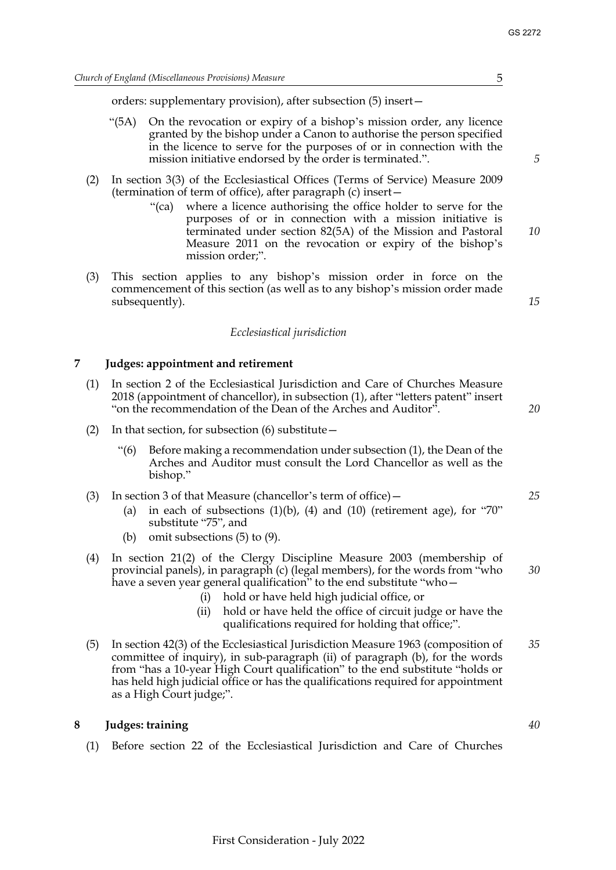orders: supplementary provision), after subsection (5) insert—

- "(5A) On the revocation or expiry of a bishop's mission order, any licence granted by the bishop under a Canon to authorise the person specified in the licence to serve for the purposes of or in connection with the mission initiative endorsed by the order is terminated.".
- (2) In section 3(3) of the Ecclesiastical Offices (Terms of Service) Measure 2009 (termination of term of office), after paragraph (c) insert—
	- "(ca) where a licence authorising the office holder to serve for the purposes of or in connection with a mission initiative is terminated under section 82(5A) of the Mission and Pastoral Measure 2011 on the revocation or expiry of the bishop's mission order;".
- (3) This section applies to any bishop's mission order in force on the commencement of this section (as well as to any bishop's mission order made subsequently).

#### *Ecclesiastical jurisdiction*

#### <span id="page-5-0"></span>**7 Judges: appointment and retirement**

- (1) In section 2 of the Ecclesiastical Jurisdiction and Care of Churches Measure 2018 (appointment of chancellor), in subsection (1), after "letters patent" insert "on the recommendation of the Dean of the Arches and Auditor".
- (2) In that section, for subsection  $(6)$  substitute  $-$ 
	- "(6) Before making a recommendation under subsection (1), the Dean of the Arches and Auditor must consult the Lord Chancellor as well as the bishop."
- (3) In section 3 of that Measure (chancellor's term of office)—
	- (a) in each of subsections  $(1)(b)$ ,  $(4)$  and  $(10)$  (retirement age), for "70" substitute "75", and
	- (b) omit subsections (5) to (9).
- (4) In section 21(2) of the Clergy Discipline Measure 2003 (membership of provincial panels), in paragraph (c) (legal members), for the words from "who have a seven year general qualification" to the end substitute "who -
	- (i) hold or have held high judicial office, or
	- (ii) hold or have held the office of circuit judge or have the qualifications required for holding that office;".
- (5) In section 42(3) of the Ecclesiastical Jurisdiction Measure 1963 (composition of committee of inquiry), in sub-paragraph (ii) of paragraph (b), for the words from "has a 10-year High Court qualification" to the end substitute "holds or has held high judicial office or has the qualifications required for appointment as a High Court judge;". *35*

## <span id="page-5-1"></span>**8 Judges: training**

(1) Before section 22 of the Ecclesiastical Jurisdiction and Care of Churches

*5*

*10*

*15*

*20*

*25*

*30*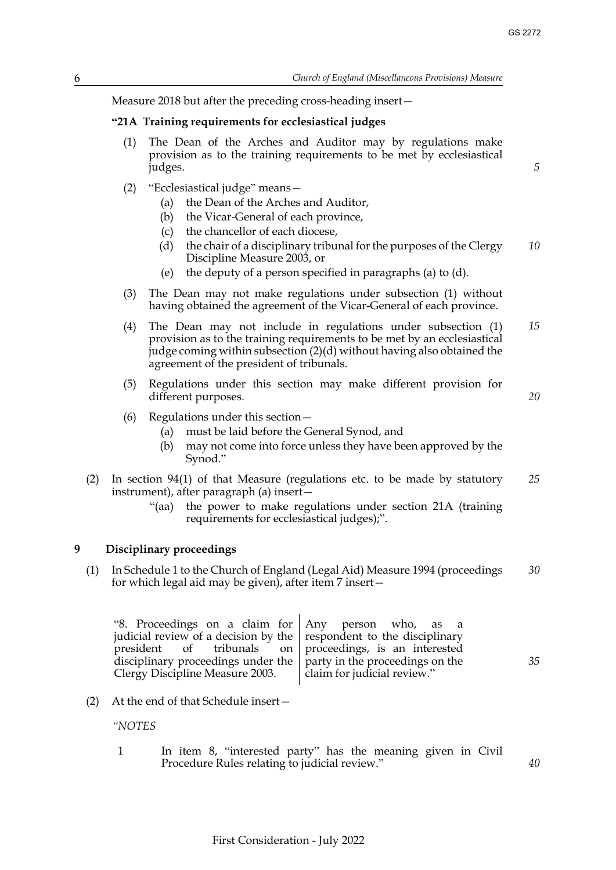*20*

*35*

*40*

Measure 2018 but after the preceding cross-heading insert—

## **"21A Training requirements for ecclesiastical judges**

- (1) The Dean of the Arches and Auditor may by regulations make provision as to the training requirements to be met by ecclesiastical judges.
- (2) "Ecclesiastical judge" means—
	- (a) the Dean of the Arches and Auditor,
	- (b) the Vicar-General of each province,
	- (c) the chancellor of each diocese,
	- (d) the chair of a disciplinary tribunal for the purposes of the Clergy Discipline Measure 2003, or *10*
	- (e) the deputy of a person specified in paragraphs (a) to (d).
- (3) The Dean may not make regulations under subsection (1) without having obtained the agreement of the Vicar-General of each province.
- (4) The Dean may not include in regulations under subsection (1) provision as to the training requirements to be met by an ecclesiastical judge coming within subsection (2)(d) without having also obtained the agreement of the president of tribunals. *15*
- (5) Regulations under this section may make different provision for different purposes.
- (6) Regulations under this section—
	- (a) must be laid before the General Synod, and
	- (b) may not come into force unless they have been approved by the Synod."
- (2) In section 94(1) of that Measure (regulations etc. to be made by statutory instrument), after paragraph (a) insert— *25*
	- "(aa) the power to make regulations under section 21A (training requirements for ecclesiastical judges);".

## <span id="page-6-0"></span>**9 Disciplinary proceedings**

(1) In Schedule 1 to the Church of England (Legal Aid) Measure 1994 (proceedings for which legal aid may be given), after item 7 insert— *30*

"8. Proceedings on a claim for judicial review of a decision by the president of tribunals on disciplinary proceedings under the Clergy Discipline Measure 2003. Any person who, as a respondent to the disciplinary proceedings, is an interested party in the proceedings on the claim for judicial review."

(2) At the end of that Schedule insert—

*"NOTES*

1 In item 8, "interested party" has the meaning given in Civil Procedure Rules relating to judicial review."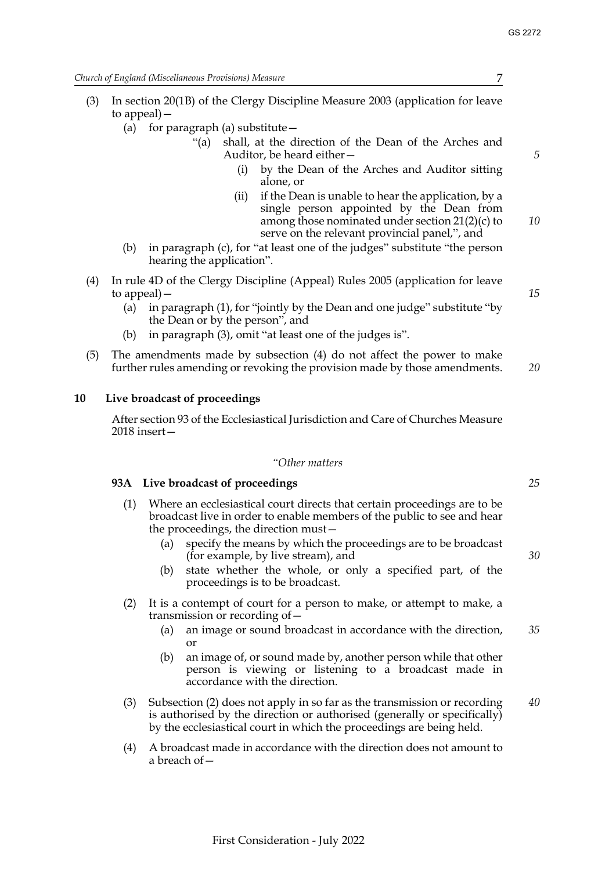*Church of England (Miscellaneous Provisions) Measure* 7

- (3) In section 20(1B) of the Clergy Discipline Measure 2003 (application for leave to appeal)—
	- (a) for paragraph (a) substitute  $-$ 
		- "(a) shall, at the direction of the Dean of the Arches and Auditor, be heard either—
			- (i) by the Dean of the Arches and Auditor sitting alone, or
			- (ii) if the Dean is unable to hear the application, by a single person appointed by the Dean from among those nominated under section 21(2)(c) to serve on the relevant provincial panel,", and
	- (b) in paragraph (c), for "at least one of the judges" substitute "the person hearing the application".
- (4) In rule 4D of the Clergy Discipline (Appeal) Rules 2005 (application for leave to appeal)—
	- (a) in paragraph (1), for "jointly by the Dean and one judge" substitute "by the Dean or by the person", and
	- (b) in paragraph (3), omit "at least one of the judges is".
- (5) The amendments made by subsection (4) do not affect the power to make further rules amending or revoking the provision made by those amendments. *20*

#### **10 Live broadcast of proceedings**

<span id="page-7-0"></span>After section 93 of the Ecclesiastical Jurisdiction and Care of Churches Measure 2018 insert—

#### *"Other matters*

#### **93A Live broadcast of proceedings**

- (1) Where an ecclesiastical court directs that certain proceedings are to be broadcast live in order to enable members of the public to see and hear the proceedings, the direction must—
	- (a) specify the means by which the proceedings are to be broadcast (for example, by live stream), and
	- (b) state whether the whole, or only a specified part, of the proceedings is to be broadcast.
- (2) It is a contempt of court for a person to make, or attempt to make, a transmission or recording of—
	- (a) an image or sound broadcast in accordance with the direction, or *35*
	- (b) an image of, or sound made by, another person while that other person is viewing or listening to a broadcast made in accordance with the direction.
- (3) Subsection (2) does not apply in so far as the transmission or recording is authorised by the direction or authorised (generally or specifically) by the ecclesiastical court in which the proceedings are being held.
- (4) A broadcast made in accordance with the direction does not amount to a breach of—

*5*

*15*

*25*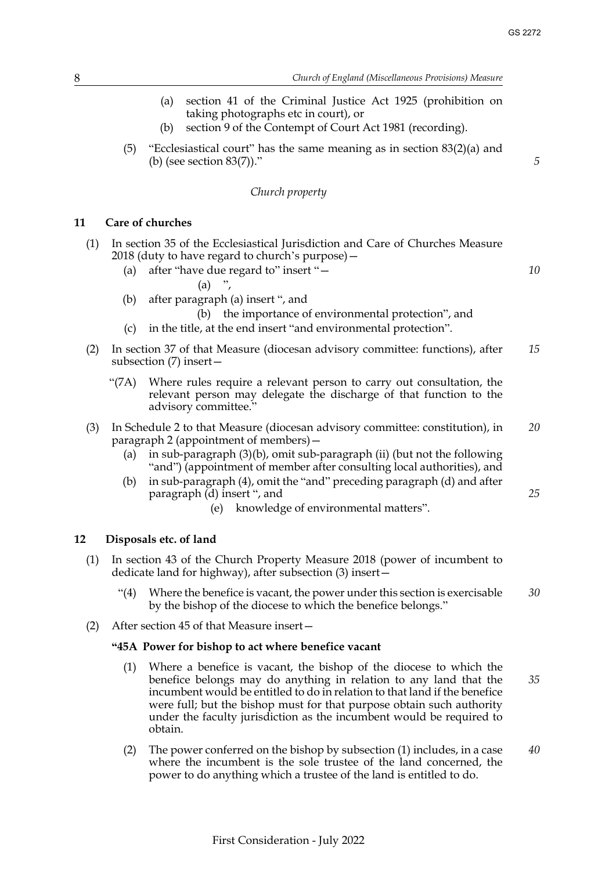*10*

*25*

- (a) section 41 of the Criminal Justice Act 1925 (prohibition on taking photographs etc in court), or
- (b) section 9 of the Contempt of Court Act 1981 (recording).
- (5) "Ecclesiastical court" has the same meaning as in section 83(2)(a) and (b) (see section 83(7))."

## *Church property*

## <span id="page-8-0"></span>**11 Care of churches**

- (1) In section 35 of the Ecclesiastical Jurisdiction and Care of Churches Measure 2018 (duty to have regard to church's purpose)—
	- (a) after "have due regard to" insert "—
		- $(a)$  ",
	- (b) after paragraph (a) insert ", and

(b) the importance of environmental protection", and

- (c) in the title, at the end insert "and environmental protection".
- (2) In section 37 of that Measure (diocesan advisory committee: functions), after subsection (7) insert— *15*
	- "(7A) Where rules require a relevant person to carry out consultation, the relevant person may delegate the discharge of that function to the advisory committee."
- (3) In Schedule 2 to that Measure (diocesan advisory committee: constitution), in paragraph 2 (appointment of members)— *20*
	- (a) in sub-paragraph (3)(b), omit sub-paragraph (ii) (but not the following "and") (appointment of member after consulting local authorities), and
	- (b) in sub-paragraph (4), omit the "and" preceding paragraph (d) and after paragraph (d) insert ", and
		- (e) knowledge of environmental matters".

#### <span id="page-8-2"></span><span id="page-8-1"></span>**12 Disposals etc. of land**

- (1) In section 43 of the Church Property Measure 2018 (power of incumbent to dedicate land for highway), after subsection (3) insert—
	- "(4) Where the benefice is vacant, the power under this section is exercisable by the bishop of the diocese to which the benefice belongs." *30*
- (2) After section 45 of that Measure insert—

#### **"45A Power for bishop to act where benefice vacant**

- (1) Where a benefice is vacant, the bishop of the diocese to which the benefice belongs may do anything in relation to any land that the incumbent would be entitled to do in relation to that land if the benefice were full; but the bishop must for that purpose obtain such authority under the faculty jurisdiction as the incumbent would be required to obtain. *35*
- (2) The power conferred on the bishop by subsection (1) includes, in a case where the incumbent is the sole trustee of the land concerned, the power to do anything which a trustee of the land is entitled to do. *40*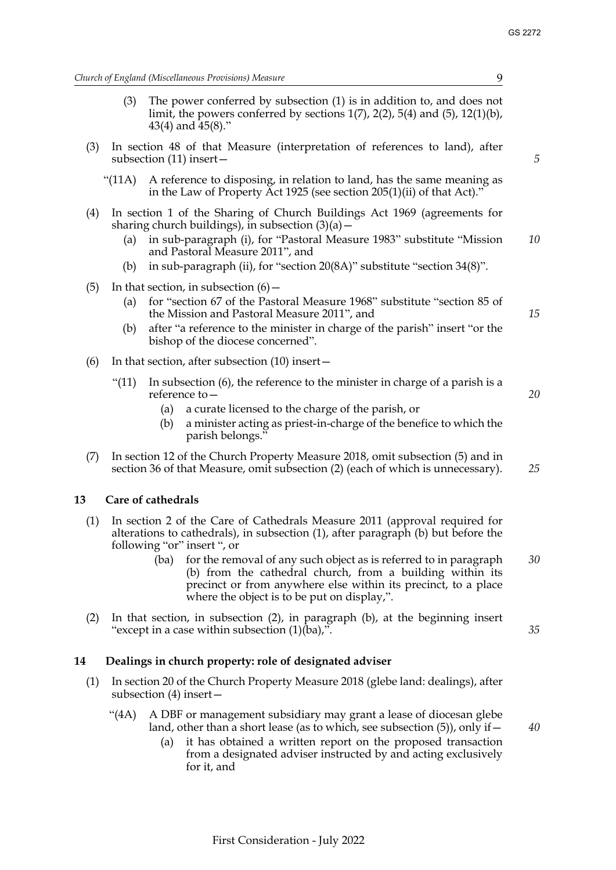*15*

*20*

*25*

*35*

*40*

*Church of England (Miscellaneous Provisions) Measure* 9

- (3) The power conferred by subsection (1) is in addition to, and does not limit, the powers conferred by sections  $1(7)$ ,  $2(2)$ ,  $5(4)$  and  $(5)$ ,  $12(1)(b)$ , 43(4) and 45(8)."
- (3) In section 48 of that Measure (interpretation of references to land), after subsection (11) insert—
	- "(11A) A reference to disposing, in relation to land, has the same meaning as in the Law of Property Act 1925 (see section 205(1)(ii) of that Act)."
- (4) In section 1 of the Sharing of Church Buildings Act 1969 (agreements for sharing church buildings), in subsection  $(3)(a)$  –
	- (a) in sub-paragraph (i), for "Pastoral Measure 1983" substitute "Mission and Pastoral Measure 2011", and *10*
	- (b) in sub-paragraph (ii), for "section 20(8A)" substitute "section 34(8)".
- (5) In that section, in subsection  $(6)$  -
	- (a) for "section 67 of the Pastoral Measure 1968" substitute "section 85 of the Mission and Pastoral Measure 2011", and
	- (b) after "a reference to the minister in charge of the parish" insert "or the bishop of the diocese concerned".
- (6) In that section, after subsection (10) insert—
	- "(11) In subsection  $(6)$ , the reference to the minister in charge of a parish is a reference to—
		- (a) a curate licensed to the charge of the parish, or
		- (b) a minister acting as priest-in-charge of the benefice to which the parish belongs."
- (7) In section 12 of the Church Property Measure 2018, omit subsection (5) and in section 36 of that Measure, omit subsection (2) (each of which is unnecessary).

## <span id="page-9-0"></span>**13 Care of cathedrals**

- (1) In section 2 of the Care of Cathedrals Measure 2011 (approval required for alterations to cathedrals), in subsection (1), after paragraph (b) but before the following "or" insert ", or
	- (ba) for the removal of any such object as is referred to in paragraph (b) from the cathedral church, from a building within its precinct or from anywhere else within its precinct, to a place where the object is to be put on display,". *30*
- (2) In that section, in subsection (2), in paragraph (b), at the beginning insert "except in a case within subsection  $(1)(\bar{b}a)$ ,".

## <span id="page-9-2"></span><span id="page-9-1"></span>**14 Dealings in church property: role of designated adviser**

- (1) In section 20 of the Church Property Measure 2018 (glebe land: dealings), after subsection (4) insert—
	- "(4A) A DBF or management subsidiary may grant a lease of diocesan glebe land, other than a short lease (as to which, see subsection (5)), only if—
		- (a) it has obtained a written report on the proposed transaction from a designated adviser instructed by and acting exclusively for it, and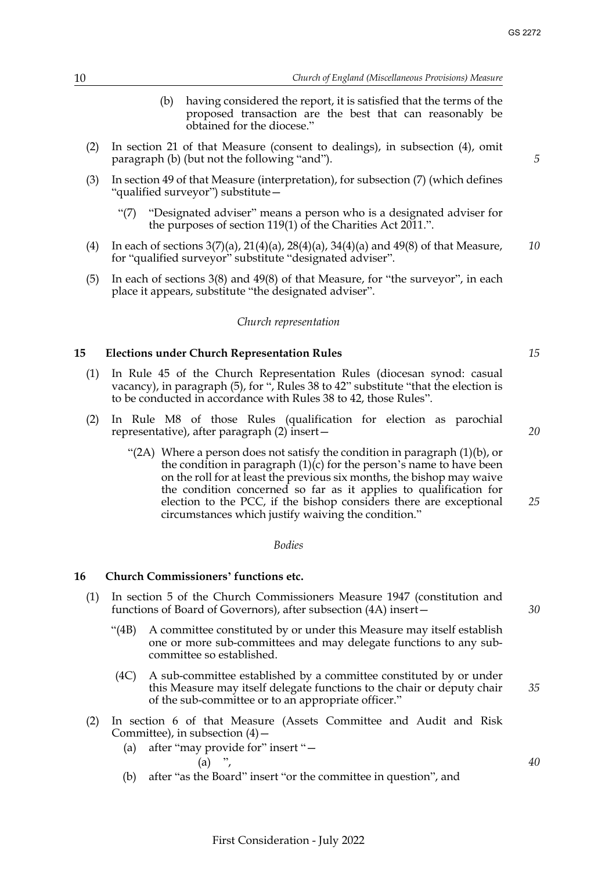- (b) having considered the report, it is satisfied that the terms of the proposed transaction are the best that can reasonably be obtained for the diocese."
- (2) In section 21 of that Measure (consent to dealings), in subsection (4), omit paragraph (b) (but not the following "and").
- (3) In section 49 of that Measure (interpretation), for subsection (7) (which defines "qualified surveyor") substitute—
	- "(7) "Designated adviser" means a person who is a designated adviser for the purposes of section 119(1) of the Charities Act 2011.".
- (4) In each of sections  $3(7)(a)$ ,  $21(4)(a)$ ,  $28(4)(a)$ ,  $34(4)(a)$  and  $49(8)$  of that Measure, for "qualified surveyor" substitute "designated adviser". *10*
- (5) In each of sections 3(8) and 49(8) of that Measure, for "the surveyor", in each place it appears, substitute "the designated adviser".

#### *Church representation*

#### <span id="page-10-2"></span><span id="page-10-0"></span>**15 Elections under Church Representation Rules**

- (1) In Rule 45 of the Church Representation Rules (diocesan synod: casual vacancy), in paragraph (5), for ", Rules 38 to 42" substitute "that the election is to be conducted in accordance with Rules 38 to 42, those Rules".
- (2) In Rule M8 of those Rules (qualification for election as parochial representative), after paragraph (2) insert—
	- "(2A) Where a person does not satisfy the condition in paragraph  $(1)(b)$ , or the condition in paragraph  $(1)(c)$  for the person's name to have been on the roll for at least the previous six months, the bishop may waive the condition concerned so far as it applies to qualification for election to the PCC, if the bishop considers there are exceptional circumstances which justify waiving the condition." *25*

#### *Bodies*

#### <span id="page-10-3"></span><span id="page-10-1"></span>**16 Church Commissioners' functions etc.**

- (1) In section 5 of the Church Commissioners Measure 1947 (constitution and functions of Board of Governors), after subsection (4A) insert—
	- "(4B) A committee constituted by or under this Measure may itself establish one or more sub-committees and may delegate functions to any subcommittee so established.
	- (4C) A sub-committee established by a committee constituted by or under this Measure may itself delegate functions to the chair or deputy chair of the sub-committee or to an appropriate officer."
- (2) In section 6 of that Measure (Assets Committee and Audit and Risk Committee), in subsection  $(4)$  –
	- (a) after "may provide for" insert "—

$$
(a) ,
$$

(b) after "as the Board" insert "or the committee in question", and

*30*

*35*

*40*

*15*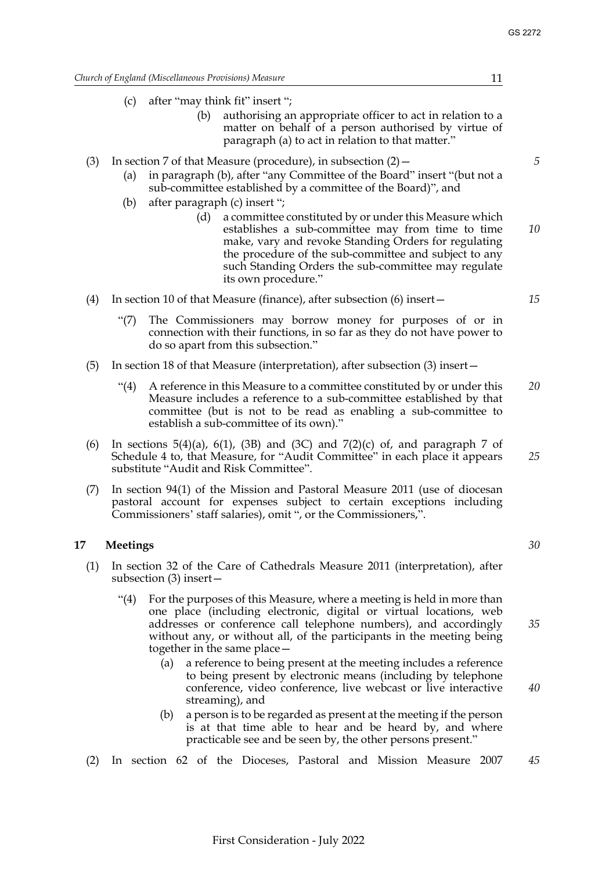(c) after "may think fit" insert ";

- (b) authorising an appropriate officer to act in relation to a matter on behalf of a person authorised by virtue of paragraph (a) to act in relation to that matter."
- (3) In section 7 of that Measure (procedure), in subsection  $(2)$ 
	- (a) in paragraph (b), after "any Committee of the Board" insert "(but not a sub-committee established by a committee of the Board)", and
	- (b) after paragraph (c) insert ";
		- (d) a committee constituted by or under this Measure which establishes a sub-committee may from time to time make, vary and revoke Standing Orders for regulating the procedure of the sub-committee and subject to any such Standing Orders the sub-committee may regulate its own procedure." *10*
- (4) In section 10 of that Measure (finance), after subsection (6) insert—
	- "(7) The Commissioners may borrow money for purposes of or in connection with their functions, in so far as they do not have power to do so apart from this subsection."
- (5) In section 18 of that Measure (interpretation), after subsection (3) insert—
	- "(4) A reference in this Measure to a committee constituted by or under this Measure includes a reference to a sub-committee established by that committee (but is not to be read as enabling a sub-committee to establish a sub-committee of its own)." *20*
- (6) In sections 5(4)(a), 6(1), (3B) and (3C) and 7(2)(c) of, and paragraph 7 of Schedule 4 to, that Measure, for "Audit Committee" in each place it appears substitute "Audit and Risk Committee".
- (7) In section 94(1) of the Mission and Pastoral Measure 2011 (use of diocesan pastoral account for expenses subject to certain exceptions including Commissioners' staff salaries), omit ", or the Commissioners,".

## <span id="page-11-1"></span><span id="page-11-0"></span>**17 Meetings**

- (1) In section 32 of the Care of Cathedrals Measure 2011 (interpretation), after subsection (3) insert—
	- "(4) For the purposes of this Measure, where a meeting is held in more than one place (including electronic, digital or virtual locations, web addresses or conference call telephone numbers), and accordingly without any, or without all, of the participants in the meeting being together in the same place—
		- (a) a reference to being present at the meeting includes a reference to being present by electronic means (including by telephone conference, video conference, live webcast or live interactive streaming), and
		- (b) a person is to be regarded as present at the meeting if the person is at that time able to hear and be heard by, and where practicable see and be seen by, the other persons present."
- (2) In section 62 of the Dioceses, Pastoral and Mission Measure 2007 *45*

*5*

*15*

*30*

*35*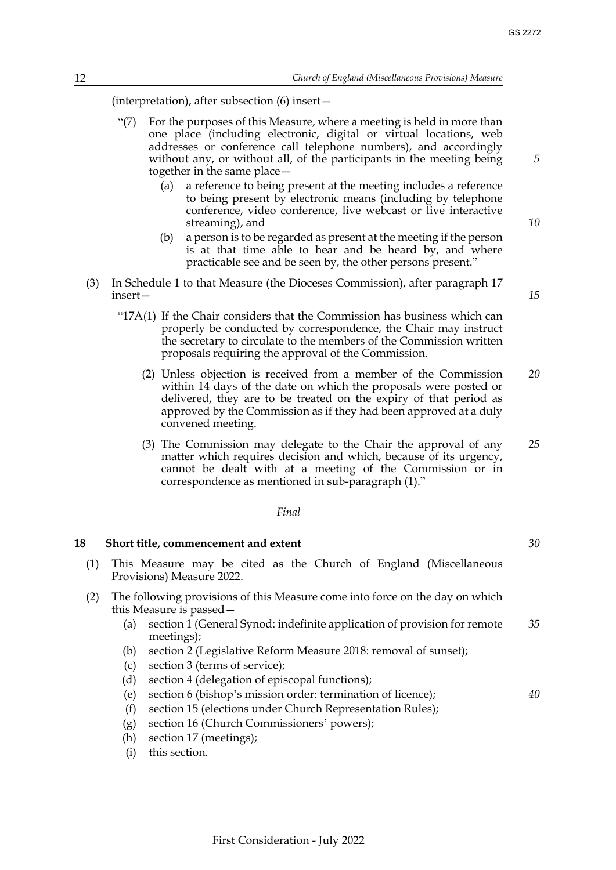(interpretation), after subsection (6) insert—

- "(7) For the purposes of this Measure, where a meeting is held in more than one place (including electronic, digital or virtual locations, web addresses or conference call telephone numbers), and accordingly without any, or without all, of the participants in the meeting being together in the same place—
	- (a) a reference to being present at the meeting includes a reference to being present by electronic means (including by telephone conference, video conference, live webcast or live interactive streaming), and
	- (b) a person is to be regarded as present at the meeting if the person is at that time able to hear and be heard by, and where practicable see and be seen by, the other persons present."
- (3) In Schedule 1 to that Measure (the Dioceses Commission), after paragraph 17 insert—
	- "17A(1) If the Chair considers that the Commission has business which can properly be conducted by correspondence, the Chair may instruct the secretary to circulate to the members of the Commission written proposals requiring the approval of the Commission.
		- (2) Unless objection is received from a member of the Commission within 14 days of the date on which the proposals were posted or delivered, they are to be treated on the expiry of that period as approved by the Commission as if they had been approved at a duly convened meeting. *20*
		- (3) The Commission may delegate to the Chair the approval of any matter which requires decision and which, because of its urgency, cannot be dealt with at a meeting of the Commission or in correspondence as mentioned in sub-paragraph (1)." *25*

#### *Final*

#### <span id="page-12-0"></span>**18 Short title, commencement and extent**

- (1) This Measure may be cited as the Church of England (Miscellaneous Provisions) Measure 2022.
- (2) The following provisions of this Measure come into force on the day on which this Measure is passed—
	- (a) section [1](#page-1-2) (General Synod: indefinite application of provision for remote meetings); *35*
	- (b) section [2](#page-1-3) (Legislative Reform Measure 2018: removal of sunset);
	- (c) section [3](#page-2-2) (terms of service);
	- (d) section [4](#page-2-3) (delegation of episcopal functions);
	- (e) section [6](#page-4-1) (bishop's mission order: termination of licence);
	- (f) section [15](#page-10-2) (elections under Church Representation Rules);
	- (g) section [16](#page-10-3) (Church Commissioners' powers);
	- (h) section [17](#page-11-1) (meetings);
	- (i) this section.

*10*

*5*

*15*

*30*